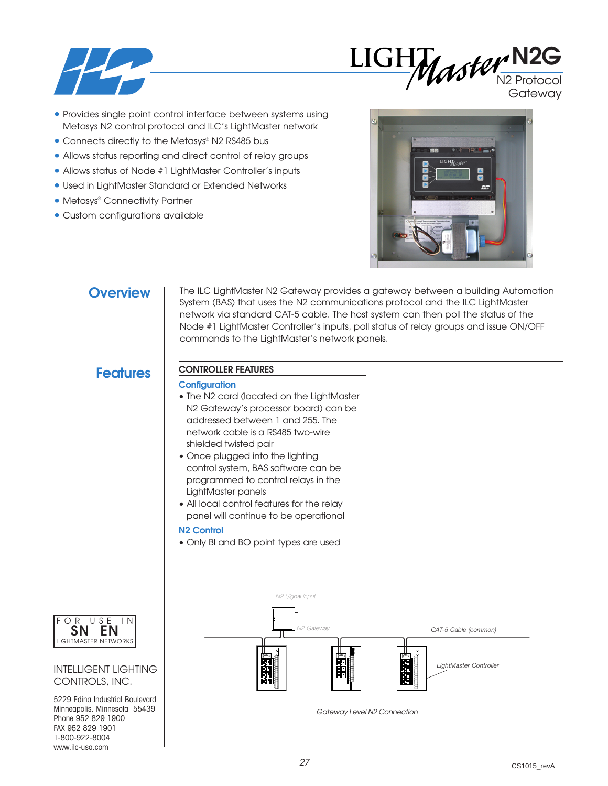



**Gateway** 

- Provides single point control interface between systems using Metasys N2 control protocol and ILC's LightMaster network
- Connects directly to the Metasys® N2 RS485 bus
- Allows status reporting and direct control of relay groups
- Allows status of Node #1 LightMaster Controller's inputs
- Used in LightMaster Standard or Extended Networks
- Metasys® Connectivity Partner
- Custom configurations available



## **Overview**

The ILC LightMaster N2 Gateway provides a gateway between a building Automation System (BAS) that uses the N2 communications protocol and the ILC LightMaster network via standard CAT-5 cable. The host system can then poll the status of the Node #1 LightMaster Controller's inputs, poll status of relay groups and issue ON/OFF commands to the LightMaster's network panels.

## **Features CONTROLLER FEATURES**

### **Configuration**

- The N2 card (located on the LightMaster N2 Gateway's processor board) can be addressed between 1 and 255. The network cable is a RS485 two-wire shielded twisted pair
- Once plugged into the lighting control system, BAS software can be programmed to control relays in the LightMaster panels
- All local control features for the relay panel will continue to be operational

## **N2 Control**

• Only BI and BO point types are used



*Gateway Level N2 Connection*



INTELLIGENT LIGHTING CONTROLS, INC.

5229 Edina Industrial Boulevard Minneapolis. Minnesota 55439 Phone 952 829 1900 FAX 952 829 1901 1-800-922-8004 www.ilc-usa.com